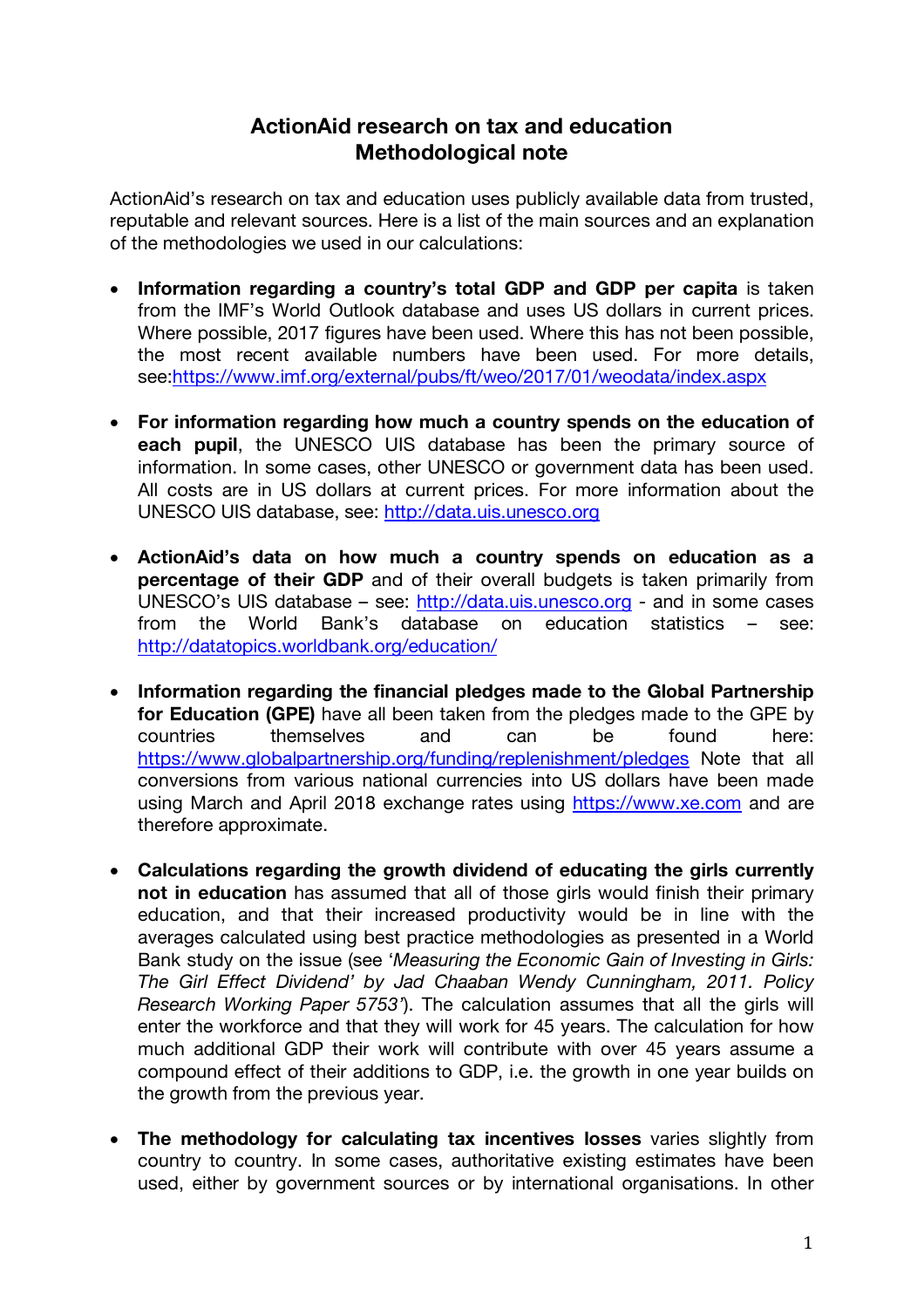## **ActionAid research on tax and education Methodological note**

ActionAid's research on tax and education uses publicly available data from trusted, reputable and relevant sources. Here is a list of the main sources and an explanation of the methodologies we used in our calculations:

- **Information regarding a country's total GDP and GDP per capita** is taken from the IMF's World Outlook database and uses US dollars in current prices. Where possible, 2017 figures have been used. Where this has not been possible, the most recent available numbers have been used. For more details, see:https://www.imf.org/external/pubs/ft/weo/2017/01/weodata/index.aspx
- **For information regarding how much a country spends on the education of each pupil**, the UNESCO UIS database has been the primary source of information. In some cases, other UNESCO or government data has been used. All costs are in US dollars at current prices. For more information about the UNESCO UIS database, see: http://data.uis.unesco.org
- **ActionAid's data on how much a country spends on education as a percentage of their GDP** and of their overall budgets is taken primarily from UNESCO's UIS database – see: http://data.uis.unesco.org - and in some cases from the World Bank's database on education statistics – see: http://datatopics.worldbank.org/education/
- **Information regarding the financial pledges made to the Global Partnership for Education (GPE)** have all been taken from the pledges made to the GPE by countries themselves and can be found here: https://www.globalpartnership.org/funding/replenishment/pledges Note that all conversions from various national currencies into US dollars have been made using March and April 2018 exchange rates using https://www.xe.com and are therefore approximate.
- **Calculations regarding the growth dividend of educating the girls currently not in education** has assumed that all of those girls would finish their primary education, and that their increased productivity would be in line with the averages calculated using best practice methodologies as presented in a World Bank study on the issue (see '*Measuring the Economic Gain of Investing in Girls: The Girl Effect Dividend' by Jad Chaaban Wendy Cunningham, 2011. Policy Research Working Paper 5753'*). The calculation assumes that all the girls will enter the workforce and that they will work for 45 years. The calculation for how much additional GDP their work will contribute with over 45 years assume a compound effect of their additions to GDP, i.e. the growth in one year builds on the growth from the previous year.
- **The methodology for calculating tax incentives losses** varies slightly from country to country. In some cases, authoritative existing estimates have been used, either by government sources or by international organisations. In other